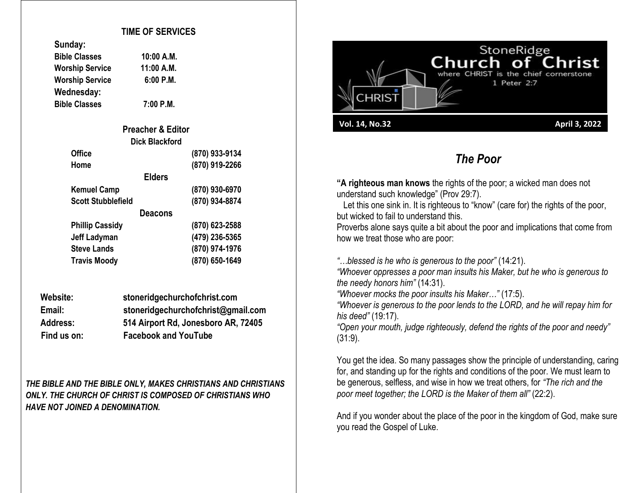#### **TIME OF SERVICES**

**Bible Classes 10:00 A.M. Worship Service 11:00 A.M.**

| Sunuay:                |
|------------------------|
| <b>Bible Classes</b>   |
| <b>Worship Service</b> |
| <b>Worship Service</b> |

**Wednesday:** 

**Sunday:**

**Worship Service 6:00 P.M. Bible Classes 7:00 P.M.**

| <b>Preacher &amp; Editor</b> |                |
|------------------------------|----------------|
| Dick Blackford               |                |
| <b>Office</b>                | (870) 933-9134 |
| Home                         | (870) 919-2266 |
| <b>Elders</b>                |                |
| <b>Kemuel Camp</b>           | (870) 930-6970 |
| <b>Scott Stubblefield</b>    | (870) 934-8874 |
| Deacons                      |                |
| <b>Phillip Cassidy</b>       | (870) 623-2588 |
| <b>Jeff Ladyman</b>          | (479) 236-5365 |
| <b>Steve Lands</b>           | (870) 974-1976 |
| <b>Travis Moody</b>          | (870) 650-1649 |

| Website:        | stoneridgechurchofchrist.com        |  |
|-----------------|-------------------------------------|--|
| Email:          | stoneridgechurchofchrist@gmail.com  |  |
| <b>Address:</b> | 514 Airport Rd, Jonesboro AR, 72405 |  |
| Find us on:     | <b>Facebook and YouTube</b>         |  |

*THE BIBLE AND THE BIBLE ONLY, MAKES CHRISTIANS AND CHRISTIANS ONLY. THE CHURCH OF CHRIST IS COMPOSED OF CHRISTIANS WHO HAVE NOT JOINED A DENOMINATION.*



## *The Poor*

**"A righteous man knows** the rights of the poor; a wicked man does not understand such knowledge" (Prov 29:7).

Let this one sink in. It is righteous to "know" (care for) the rights of the poor, but wicked to fail to understand this.

Proverbs alone says quite a bit about the poor and implications that come from how we treat those who are poor:

*"…blessed is he who is generous to the poor"* (14:21).

*"Whoever oppresses a poor man insults his Maker, but he who is generous to the needy honors him"* (14:31).

*"Whoever mocks the poor insults his Maker…"* (17:5).

*"Whoever is generous to the poor lends to the LORD, and he will repay him for his deed"* (19:17).

*"Open your mouth, judge righteously, defend the rights of the poor and needy"* (31:9).

You get the idea. So many passages show the principle of understanding, caring for, and standing up for the rights and conditions of the poor. We must learn to be generous, selfless, and wise in how we treat others, for *"The rich and the poor meet together; the LORD is the Maker of them all"* (22:2).

And if you wonder about the place of the poor in the kingdom of God, make sure you read the Gospel of Luke.